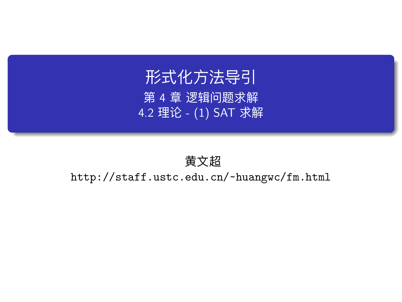# 形式化方法导引 第 4 章 逻辑问题求解 4.2 理论 - (1) SAT 求解

### 黄文超

http://staff.ustc.edu.cn/~huangwc/fm.html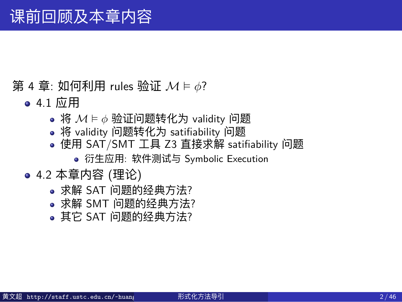# 课前回顾及本章内容

- 第 4 章: 如何利用 rules 验证 *M* ⊨ *ϕ*?
	- 4.1 应用
		- 将 *M* ⊨ *ϕ* 验证问题转化为 validity 问题
		- 将 validity 问题转化为 satifiability 问题
		- 使用 SAT/SMT 工具 Z3 直接求解 satifiability 问题
			- 衍生应用: 软件测试与 Symbolic Execution
	- 4.2 本章内容 (理论)
		- 求解 SAT 问题的经典方法?
		- 求解 SMT 问题的经典方法?
		- 其它 SAT 问题的经典方法?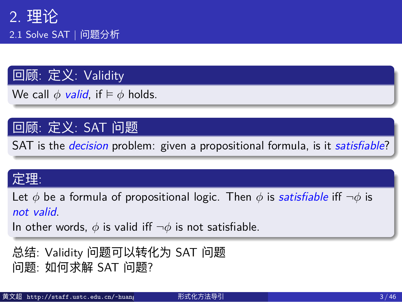2.1 Solve SAT | 问题分析

### 回顾: 定义: Validity

We call  $\phi$  *valid*, if  $\models \phi$  holds.

### 回顾: 定义: SAT 问题

SAT is the *decision* problem: given a propositional formula, is it *satisfiable*?

#### 定理:

Let *ϕ* be a formula of propositional logic. Then *ϕ* is *satisfiable* iff *¬ϕ* is *not valid*.

In other words, *ϕ* is valid iff *¬ϕ* is not satisfiable.

总结: Validity 问题可以转化为 SAT 问题 问题: 如何求解 SAT 问题?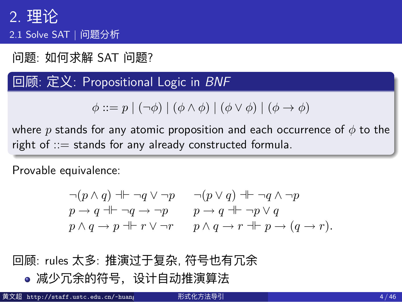. 2.1 Solve SAT | 问题分析<br>Definition 1.25 Let  $\phi$ 

问题: 如何求解 SAT 问题? **wand write 'iff' for 'iff' for 'iff' for '**iff' for 'iff' for 'if

**if** 回顾: 定义: Propositional Logic in *BNF* **ig https://www.profesitional Logic in BNF and another way around.** 

 $\phi ::= p \mid (\neg \phi) \mid (\phi \land \phi) \mid (\phi \lor \phi) \mid (\phi \rightarrow \phi)$ 

where *p* stands for any atomic proposition and each occurrence of *ϕ* to the right of  $\therefore$  stands for any already constructed formula.  $\mathbb{R}^n$   $\mathbb{R}^n$ 

Provable equivalence:  $\overline{\phantom{a}}$  (φ  $\overline{\phantom{a}}$  )  $\overline{\phantom{a}}$  (φ  $\overline{\phantom{a}}$  )  $\overline{\phantom{a}}$  is valid  $\overline{\phantom{a}}$  is valid  $\overline{\phantom{a}}$  ).

> $\neg(p\land q)\dashv\vdash\neg q\lor\neg p\qquad\neg(p\lor q)\dashv\vdash\neg q\land\neg p$  $p \rightarrow q \uparrow \vdash \neg q \rightarrow \neg p$   $p \rightarrow q \uparrow \vdash \neg p \vee q$  $p \wedge q \rightarrow p \dashr r \vee \neg r$   $p \wedge q \rightarrow r \dashr p \rightarrow (q \rightarrow r)$ .

### 回顾: rules 太多: 推演过于复杂, 符号也有冗余

减少冗余的符号,设计自动推演算法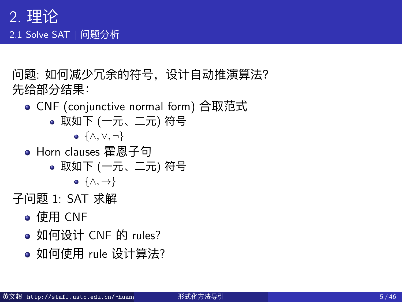### 2. 理论 2.1 Solve SAT | 问题分析

问题: 如何减少冗余的符号,设计自动推演算法? 先给部分结果:

- CNF (conjunctive normal form) 合取范式
	- 取如下 (一元、二元) 符号
		- *{∧, ∨, ¬}*
- Horn clauses 霍恩子句
	- 取如下 (一元、二元) 符号 *{∧, →}*
		-
- 子问题 1: SAT 求解
	- 使用 CNF
	- 如何设计 CNF 的 rules?
	- 如何使用 rule 设计算法?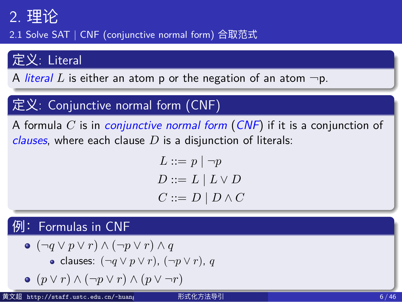2.1 Solve SAT | CNF (conjunctive normal form) 合取范式

### 定义: Literal

A *literal*  $L$  is either an atom  $p$  or the negation of an atom  $\neg p$ .

### 定义: Conjunctive normal form (CNF)

A formula *C* is in *conjunctive normal form* (*CNF*) if it is a conjunction of *clauses*, where each clause *D* is a disjunction of literals:

$$
\begin{aligned} L &::= p \mid \neg p \\ D &::= L \mid L \vee D \\ C &::= D \mid D \wedge C \end{aligned}
$$

# **例: Formulas in CNF**

\n- \n
$$
(\neg q \lor p \lor r) \land (\neg p \lor r) \land q
$$
\n
\n- \n $\bullet$  clauses:  $(\neg q \lor p \lor r)$ ,  $(\neg p \lor r)$ ,  $q$ \n
\n- \n $\bullet$   $(p \lor r) \land (\neg p \lor r) \land (p \lor \neg r)$ \n
\n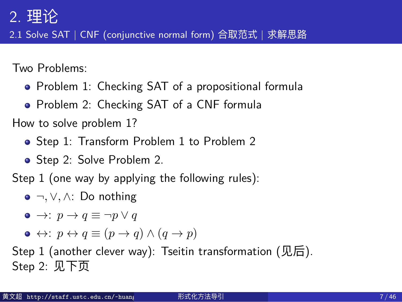2.1 Solve SAT | CNF (conjunctive normal form) 合取范式 | 求解思路

Two Problems:

- Problem 1: Checking SAT of a propositional formula
- Problem 2: Checking SAT of a CNF formula

How to solve problem 1?

- Step 1: Transform Problem 1 to Problem 2
- Step 2: Solve Problem 2.

Step 1 (one way by applying the following rules):

*¬, ∨, ∧*: Do nothing

$$
\bullet \ \to\colon p \to q \equiv \neg p \vee q
$$

 $\bullet$  ↔  $\cdot$  *p*  $\leftrightarrow$  *q*  $\equiv$   $(p \rightarrow q) \land (q \rightarrow p)$ 

Step 1 (another clever way): Tseitin transformation (见后). Step 2: 见下页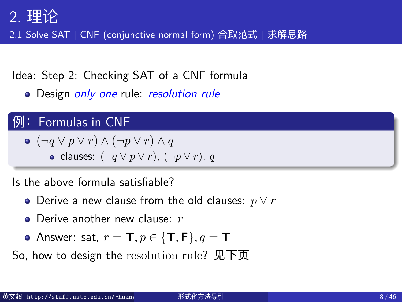2.1 Solve SAT | CNF (conjunctive normal form) 合取范式 | 求解思路

Idea: Step 2: Checking SAT of a CNF formula

Design *only one* rule: *resolution rule*

### **例: Formulas in CNF**

$$
\bullet \ (\neg q \lor p \lor r) \land (\neg p \lor r) \land q
$$

clauses: (*¬q ∨ p ∨ r*), (*¬p ∨ r*), *q*

Is the above formula satisfiable?

- Derive a new clause from the old clauses: *p ∨ r*
- Derive another new clause: *r*
- Answer: sat, *r* = **T***, p ∈ {***T***,* **F***}, q* = **T**

So, how to design the resolution rule? 见下页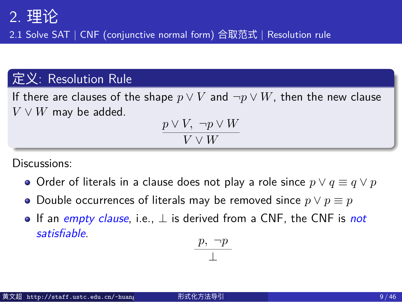2.1 Solve SAT | CNF (conjunctive normal form) 合取范式 | Resolution rule

### 定义: Resolution Rule

If there are clauses of the shape  $p \lor V$  and  $\neg p \lor W$ , then the new clause *V ∨ W* may be added.

$$
\frac{p \vee V, \neg p \vee W}{V \vee W}
$$

Discussions:

- $\bullet$  Order of literals in a clause does not play a role since  $p ∨ q ≡ q ∨ p$
- $\bullet$  Double occurrences of literals may be removed since  $p \lor p \equiv p$
- If an *empty clause*, i.e., *⊥* is derived from a CNF, the CNF is *not satisfiable*.

$$
\frac{p, \neg p}{\bot}
$$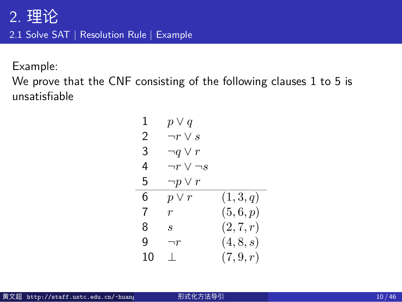2.1 Solve SAT | Resolution Rule | Example

Example:

We prove that the CNF consisting of the following clauses 1 to 5 is unsatisfiable

| 1              | $p \vee q$           |           |
|----------------|----------------------|-----------|
| $\mathfrak{D}$ | $\neg r \vee s$      |           |
| 3              | $\neg q \vee r$      |           |
| 4              | $\neg r \vee \neg s$ |           |
| 5              | $\neg p \vee r$      |           |
| 6              | $p \vee r$           | (1,3,q)   |
| 7              | $\,r\,$              | (5,6,p)   |
| 8              | $\mathcal{S}$        | (2, 7, r) |
| g              | $\neg r$             | (4, 8, s) |
| 10             | $\mathbf{L}$         | (7, 9, r) |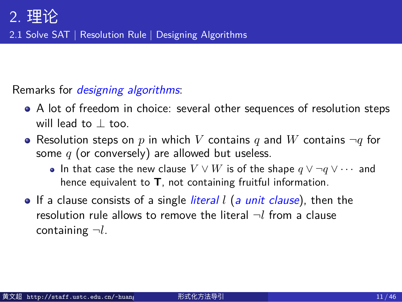2.1 Solve SAT | Resolution Rule | Designing Algorithms

#### Remarks for *designing algorithms*:

- A lot of freedom in choice: several other sequences of resolution steps will lead to *⊥* too.
- Resolution steps on  $p$  in which  $V$  contains  $q$  and  $W$  contains  $\neg q$  for some *q* (or conversely) are allowed but useless.
	- In that case the new clause *V ∨ W* is of the shape *q ∨ ¬q ∨ · · ·* and hence equivalent to **T**, not containing fruitful information.
- If a clause consists of a single *literal l* (*a unit clause*), then the resolution rule allows to remove the literal *¬l* from a clause containing *¬l*.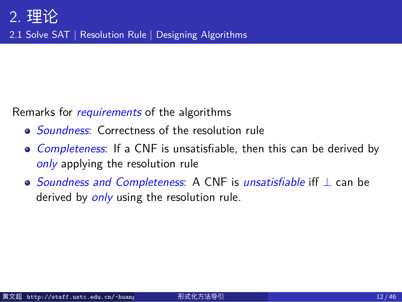2.1 Solve SAT | Resolution Rule | Designing Algorithms

Remarks for *requirements* of the algorithms

- *Soundness*: Correctness of the resolution rule
- *Completeness*: If a CNF is unsatisfiable, then this can be derived by *only* applying the resolution rule
- *Soundness and Completeness*: A CNF is *unsatisfiable* iff *⊥* can be derived by *only* using the resolution rule.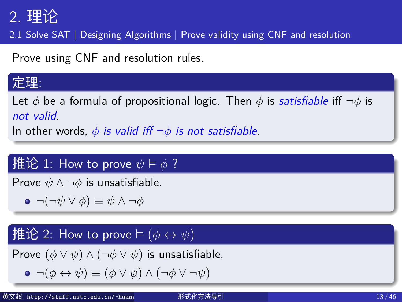2.1 Solve SAT | Designing Algorithms | Prove validity using CNF and resolution

Prove using CNF and resolution rules.

### 定理:

Let *ϕ* be a formula of propositional logic. Then *ϕ* is *satisfiable* iff *¬ϕ* is *not valid*.

In other words,  $\phi$  *is valid iff*  $\neg \phi$  *is not satisfiable.* 

### $\mathbf{H}$ 论 1: How to prove  $\psi \models \phi$  ?

Prove  $\psi \land \neg \phi$  is unsatisfiable.

*¬*(*¬ψ ∨ ϕ*) *≡ ψ ∧ ¬ϕ*

### **挂论** 2: How to prove ⊨  $(\phi \leftrightarrow \psi)$

Prove  $(\phi \lor \psi) \land (\neg \phi \lor \psi)$  is unsatisfiable. *¬*(*ϕ ↔ ψ*) *≡* (*ϕ ∨ ψ*) *∧* (*¬ϕ ∨ ¬ψ*)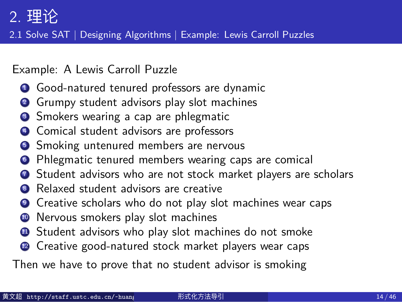2.1 Solve SAT | Designing Algorithms | Example: Lewis Carroll Puzzles

Example: A Lewis Carroll Puzzle

- **4** Good-natured tenured professors are dynamic
- **2** Grumpy student advisors play slot machines
- <sup>3</sup> Smokers wearing a cap are phlegmatic
- **4** Comical student advisors are professors
- **5** Smoking untenured members are nervous
- <sup>6</sup> Phlegmatic tenured members wearing caps are comical
- **3** Student advisors who are not stock market players are scholars
- <sup>8</sup> Relaxed student advisors are creative
- **9** Creative scholars who do not play slot machines wear caps
- <sup>4</sup> Nervous smokers play slot machines
- **4** Student advisors who play slot machines do not smoke
- <sup>2</sup> Creative good-natured stock market players wear caps

Then we have to prove that no student advisor is smoking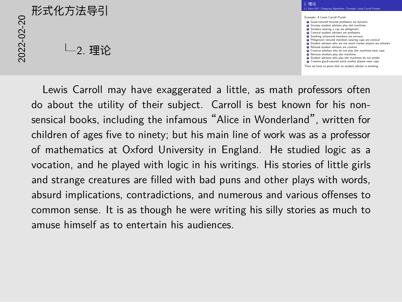# 2022-02-20形式化方法导引 2. 理论



Lewis Carroll may have exaggerated a little, as math professors often do about the utility of their subject. Carroll is best known for his nonsensical books, including the infamous "Alice in Wonderland", written for children of ages five to ninety; but his main line of work was as a professor of mathematics at Oxford University in England. He studied logic as a vocation, and he played with logic in his writings. His stories of little girls and strange creatures are filled with bad puns and other plays with words, absurd implications, contradictions, and numerous and various offenses to common sense. It is as though he were writing his silly stories as much to amuse himself as to entertain his audiences.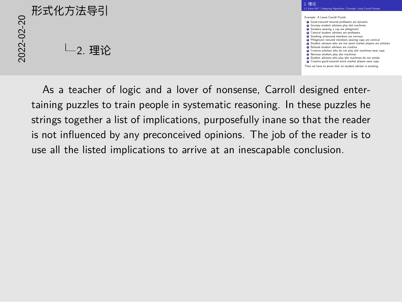2<br>2022<br>2022<br>2022<br>2022<br>2022<br>2022<br>2022 2. 理论



As a teacher of logic and a lover of nonsense, Carroll designed entertaining puzzles to train people in systematic reasoning. In these puzzles he strings together a list of implications, purposefully inane so that the reader is not influenced by any preconceived opinions. The job of the reader is to use all the listed implications to arrive at an inescapable conclusion.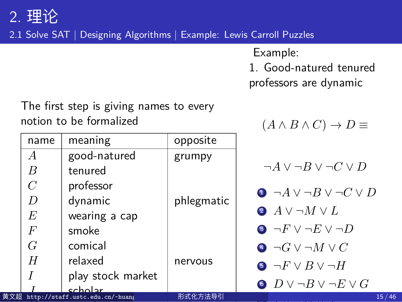2.1 Solve SAT | Designing Algorithms | Example: Lewis Carroll Puzzles

Example:

1. Good-natured tenured

 $(A \land B \land C) \to D \equiv$ 

professors are dynamic

The first step is giving names to every notion to be formalized

| name             | meaning                             | opposite   |                                                 |
|------------------|-------------------------------------|------------|-------------------------------------------------|
| $\overline{A}$   | good-natured                        | grumpy     |                                                 |
| B                | tenured                             |            | $\neg A \vee \neg B \vee \neg C \vee D$         |
| $\,C$            | professor                           |            | $\bullet \neg A \lor \neg B \lor \neg C \lor D$ |
| D                | dynamic                             | phlegmatic |                                                 |
| E                | wearing a cap                       |            | $A \vee \neg M \vee L$                          |
| $\boldsymbol{F}$ | smoke                               |            | $\bullet \neg F \vee \neg E \vee \neg D$        |
| G                | comical                             |            | $\lnot G \vee \lnot M \vee C$                   |
| H                | relaxed                             | nervous    | $\bullet \neg F \vee B \vee \neg H$             |
|                  | play stock market                   |            |                                                 |
|                  | ccholor                             |            | $\bullet$ $D \vee \neg B \vee \neg E \vee G$    |
|                  | 黄文超 http://staff.ustc.edu.cn/~huang | 形式化方法导引    | 15/46                                           |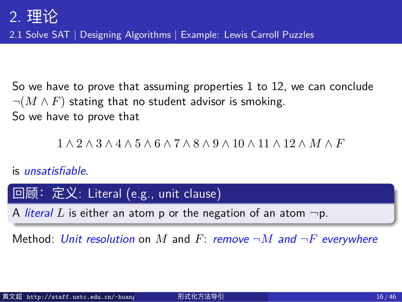2.1 Solve SAT | Designing Algorithms | Example: Lewis Carroll Puzzles

So we have to prove that assuming properties 1 to 12, we can conclude *¬*(*M ∧ F*) stating that no student advisor is smoking. So we have to prove that

1 *∧* 2 *∧* 3 *∧* 4 *∧* 5 *∧* 6 *∧* 7 *∧* 8 *∧* 9 *∧* 10 *∧* 11 *∧* 12 *∧ M ∧ F*

### is *unsatisfiable*.

回顾:定义: Literal (e.g., unit clause)

A *literal*  $L$  is either an atom  $p$  or the negation of an atom  $\neg p$ .

Method: *Unit resolution* on *M* and *F*: *remove ¬M and ¬F everywhere*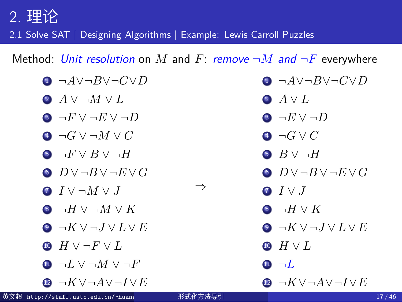2.1 Solve SAT | Designing Algorithms | Example: Lewis Carroll Puzzles

Method: Unit resolution on M and F: remove  $\neg M$  and  $\neg F$  everywhere

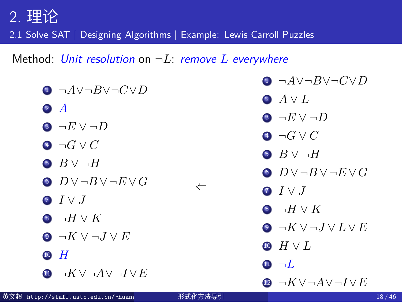2.1 Solve SAT | Designing Algorithms | Example: Lewis Carroll Puzzles

Method: *Unit resolution* on *¬L*: *remove L everywhere*

| $\bullet \neg A \lor \neg B \lor \neg C \lor D$ |              | $\bullet \neg A \lor \neg B \lor \neg C \lor D$ |
|-------------------------------------------------|--------------|-------------------------------------------------|
| $\bullet$ A                                     |              | 2 $A \vee L$                                    |
|                                                 |              | 3 $\neg E \vee \neg D$                          |
| 3 $\neg E \vee \neg D$                          |              | 4 $\neg G \vee C$                               |
| $\lnot G \vee C$                                |              | $\bullet$ $B \vee \neg H$                       |
| $B \vee \neg H$                                 | $\Leftarrow$ | $\bullet$ $D \vee \neg B \vee \neg E \vee G$    |
| $O$ $D \vee \neg B \vee \neg E \vee G$          |              | $\bullet$ $I \vee J$                            |
| $\bullet$ $I \vee J$                            |              | $\bullet \neg H \vee K$                         |
| $\bullet \neg H \vee K$                         |              | $\bullet \neg K \vee \neg J \vee L \vee E$      |
| $\bullet \neg K \vee \neg J \vee E$             |              | $\bullet$ $H \vee L$                            |
| $10$ H                                          |              | $\mathbf{0}$ $\neg L$                           |
| $\bullet \neg K \vee \neg A \vee \neg I \vee E$ |              | $\bullet \neg K \vee \neg A \vee \neg I \vee E$ |
| 黄文超 http://staff.ustc.edu.cn/~huang             | 形式化方法导引      | 18/46                                           |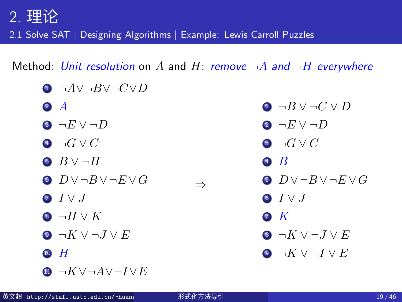2.1 Solve SAT | Designing Algorithms | Example: Lewis Carroll Puzzles

Method: *Unit resolution* on *A* and *H*: *remove ¬A and ¬H everywhere*

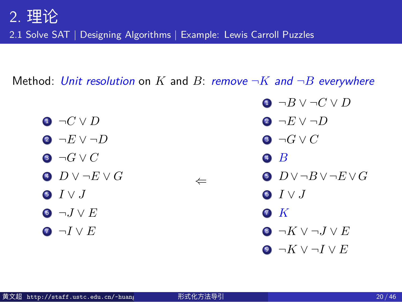2.1 Solve SAT | Designing Algorithms | Example: Lewis Carroll Puzzles

Method: *Unit resolution* on *K* and *B*: *remove ¬K and ¬B everywhere*

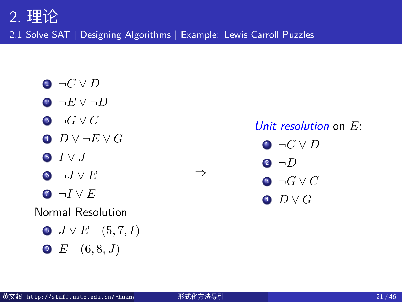2.1 Solve SAT | Designing Algorithms | Example: Lewis Carroll Puzzles

- $\bullet \neg C \lor D$
- *¬E ∨ ¬D*
- *¬G ∨ C*
- *D ∨ ¬E ∨ G*
- *I ∨ J*
- *¬J ∨ E*
- *¬I ∨ E*

### Normal Resolution

- *J ∨ E* (5*,* 7*, I*)
- *E* (6*,* 8*, J*)

### *Unit resolution* on *E*:

- *¬C ∨ D ¬D*
- *¬G ∨ C*
- *D ∨ G*

*⇒*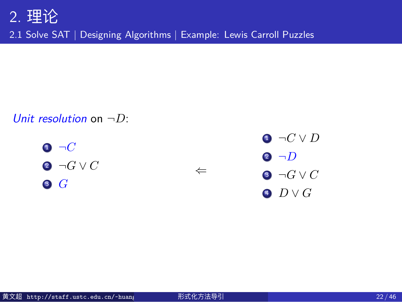2.1 Solve SAT | Designing Algorithms | Example: Lewis Carroll Puzzles

#### *Unit resolution* on *¬D*:

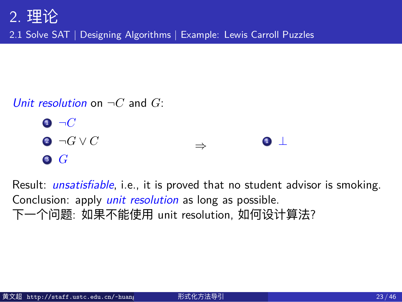2.1 Solve SAT | Designing Algorithms | Example: Lewis Carroll Puzzles



Result: *unsatisfiable*, i.e., it is proved that no student advisor is smoking. Conclusion: apply *unit resolution* as long as possible. 下一个问题: 如果不能使用 unit resolution, 如何设计算法?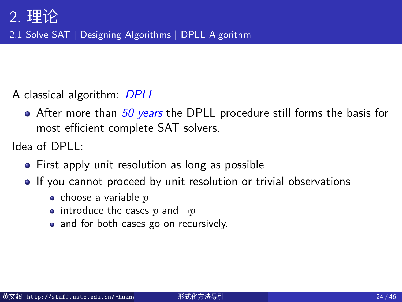2.1 Solve SAT | Designing Algorithms | DPLL Algorithm

A classical algorithm: *DPLL*

After more than *50 years* the DPLL procedure still forms the basis for most efficient complete SAT solvers.

Idea of DPLL:

- First apply unit resolution as long as possible
- If you cannot proceed by unit resolution or trivial observations
	- choose a variable *p*
	- introduce the cases  $p$  and  $\neg p$
	- and for both cases go on recursively.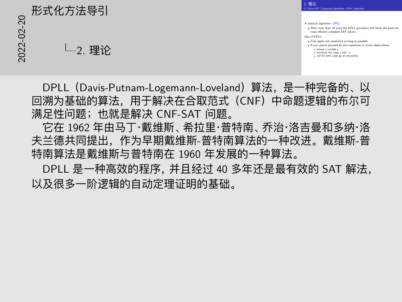# 2022-02-20形式化方法导引 2. 理论

A classical algorithm: *DPLL* After more than *50 years* the DPLL procedure still forms the basis for most efficient complete SAT solvers. **I** After more than 50 years the DPLL procedure st<br>
Idea of DPLL:<br> **Idea of DPLL:**<br> **IDEA I** First apply unit resolution as long as possible or or ca:<br>First apply unit resolution as long as possible<br>If you cannot proceed by unit resolution or trivial observations *x*<br>introduce a variable *p*<br>choose a variable *p*<br>introduce the cases *p* and *¬p*<br>and for both cases go on recursively.

2. 理论 2.1 Solve SAT | Designing Algorithms | DPLL Algorithm

DPLL(Davis-Putnam-Logemann-Loveland)算法,是一种完备的、以 回溯为基础的算法,用于解决在合取范式(CNF)中命题逻辑的布尔可 满足性问题;也就是解决 CNF-SAT 问题。

它在 1962 年由马丁·戴维斯、希拉里·普特南、乔治·洛吉曼和多纳·洛 夫兰德共同提出,作为早期戴维斯-普特南算法的一种改进。戴维斯-普 特南算法是戴维斯与普特南在 1960 年发展的一种算法。

DPLL 是一种高效的程序,并且经过 40 多年还是最有效的 SAT 解法, 以及很多一阶逻辑的自动定理证明的基础。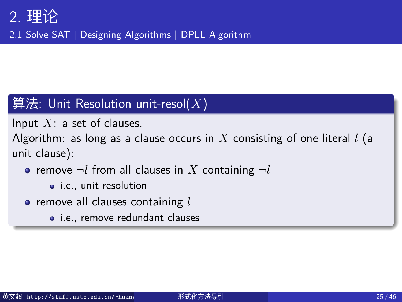2.1 Solve SAT | Designing Algorithms | DPLL Algorithm

### $\Big(\widehat{\mathbf{g}}$ 法: Unit Resolution unit-resol $(X)$

Input *X*: a set of clauses.

Algorithm: as long as a clause occurs in *X* consisting of one literal *l* (a unit clause):

- $\bullet$  remove  $\neg l$  from all clauses in  $X$  containing  $\neg l$ 
	- i.e., unit resolution
- remove all clauses containing *l*
	- i.e., remove redundant clauses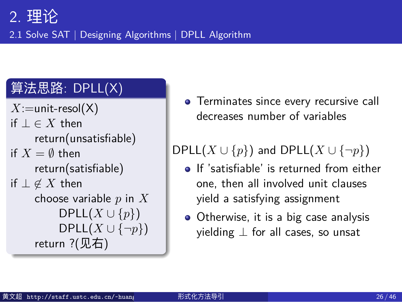2.1 Solve SAT | Designing Algorithms | DPLL Algorithm

## 算法思路: DPLL(X)

- *X*:=unit-resol(X) if *⊥ ∈ X* then return(unsatisfiable) if  $X = \emptyset$  then return(satisfiable) if *⊥ ̸∈ X* then choose variable *p* in *X* DPLL(*X ∪ {p}*) DPLL(*X ∪ {¬p}*) return ?(见右)
- **•** Terminates since every recursive call decreases number of variables

 $DPLL(X \cup \{p\})$  and  $DPLL(X \cup \{\neg p\})$ 

- **If** 'satisfiable' is returned from either one, then all involved unit clauses yield a satisfying assignment
- Otherwise, it is a big case analysis yielding *⊥* for all cases, so unsat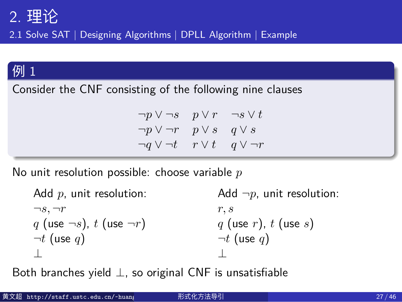2.1 Solve SAT | Designing Algorithms | DPLL Algorithm | Example

### 例 1

Consider the CNF consisting of the following nine clauses

*¬p ∨ ¬s p ∨ r ¬s ∨ t ¬p ∨ ¬r p ∨ s q ∨ s ¬q ∨ ¬t r ∨ t q ∨ ¬r*

No unit resolution possible: choose variable *p*

Add *p*, unit resolution:  $\neg s, \neg r$ *q* (use *¬s*), *t* (use *¬r*) *¬t* (use *q*) *⊥* Add *¬p*, unit resolution: *r, s q* (use *r*), *t* (use *s*) *¬t* (use *q*) *⊥*

Both branches yield *⊥*, so original CNF is unsatisfiable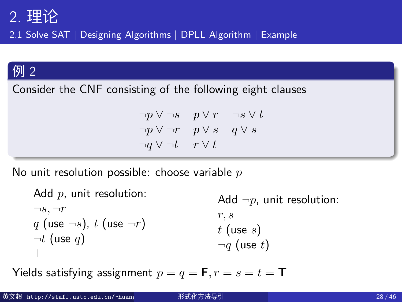2.1 Solve SAT | Designing Algorithms | DPLL Algorithm | Example

### 例 2

Consider the CNF consisting of the following eight clauses

*¬p ∨ ¬s p ∨ r ¬s ∨ t ¬p ∨ ¬r p ∨ s q ∨ s ¬q ∨ ¬t r ∨ t*

No unit resolution possible: choose variable *p*

Add *p*, unit resolution:  $\neg s, \neg r$ *q* (use *¬s*), *t* (use *¬r*) *¬t* (use *q*) *⊥* Add *¬p*, unit resolution: *r, s t* (use *s*) *¬q* (use *t*)

Yields satisfying assignment  $p = q = \mathbf{F}, r = s = t = \mathbf{T}$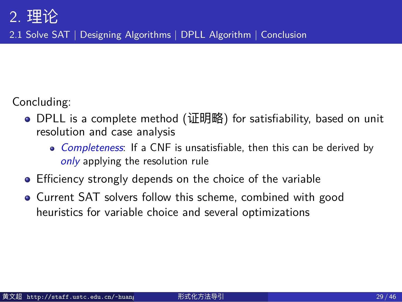2.1 Solve SAT | Designing Algorithms | DPLL Algorithm | Conclusion

Concluding:

- DPLL is a complete method (证明略) for satisfiability, based on unit resolution and case analysis
	- *Completeness*: If a CNF is unsatisfiable, then this can be derived by *only* applying the resolution rule
- Efficiency strongly depends on the choice of the variable
- Current SAT solvers follow this scheme, combined with good heuristics for variable choice and several optimizations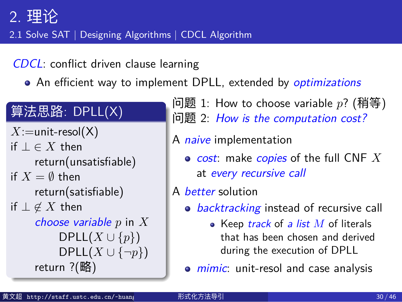2.1 Solve SAT | Designing Algorithms | CDCL Algorithm

*CDCL*: conflict driven clause learning

An efficient way to implement DPLL, extended by *optimizations*

## 算法思路: DPLL(X)

- *X*:=unit-resol(X) if *⊥ ∈ X* then return(unsatisfiable) if  $X = \emptyset$  then return(satisfiable) if *⊥ ̸∈ X* then *choose variable p* in *X* DPLL(*X ∪ {p}*) DPLL(*X ∪ {¬p}*) return ?(略)
- 问题 1: How to choose variable *p*? (稍等) 问题 2: *How is the computation cost?*
- A *naive* implementation
	- *cost*: make *copies* of the full CNF *X* at *every recursive call*

A *better* solution

- *backtracking* instead of recursive call
	- Keep *track* of *a list M* of literals that has been chosen and derived during the execution of DPLL
- *mimic*: unit-resol and case analysis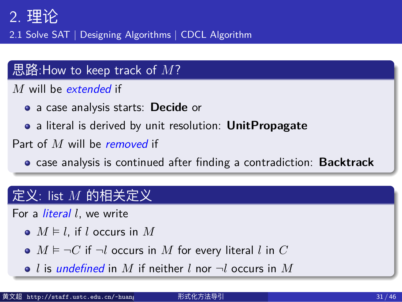2.1 Solve SAT | Designing Algorithms | CDCL Algorithm

### 思路:How to keep track of *M*?

*M* will be *extended* if

- a case analysis starts: **Decide** or
- a literal is derived by unit resolution: **UnitPropagate**

Part of *M* will be *removed* if

case analysis is continued after finding a contradiction: **Backtrack**

### $\sqrt{\mathbf{z}}$ 义: list  $M$  的相关定义

For a *literal l*, we write

- $M \models l$ , if *l* occurs in  $M$
- $M \models \neg C$  if  $\neg l$  occurs in  $M$  for every literal  $l$  in  $C$
- *l* is *undefined* in *M* if neither *l* nor *¬l* occurs in *M*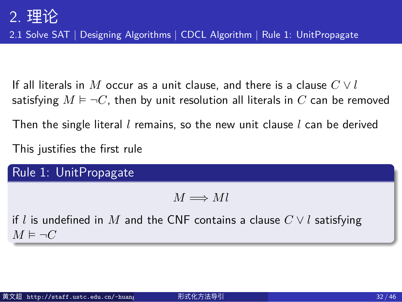2.1 Solve SAT | Designing Algorithms | CDCL Algorithm | Rule 1: UnitPropagate

If all literals in  $M$  occur as a unit clause, and there is a clause  $C \vee l$ satisfying  $M \models \neg C$ , then by unit resolution all literals in  $C$  can be removed

Then the single literal *l* remains, so the new unit clause *l* can be derived

This justifies the first rule

Rule 1: UnitPropagate

 $M \Longrightarrow Ml$ 

if *l* is undefined in *M* and the CNF contains a clause *C ∨ l* satisfying *M* ⊨ *¬C*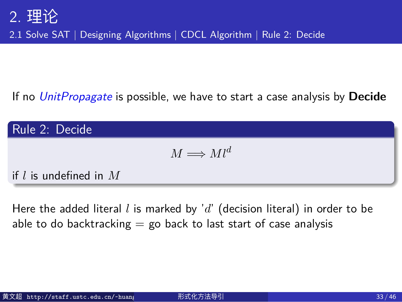2.1 Solve SAT | Designing Algorithms | CDCL Algorithm | Rule 2: Decide

If no *UnitPropagate* is possible, we have to start a case analysis by **Decide**

Rule 2: Decide  $M \Longrightarrow Ml^d$ if *l* is undefined in *M*

Here the added literal *l* is marked by '*d*' (decision literal) in order to be able to do backtracking  $=$  go back to last start of case analysis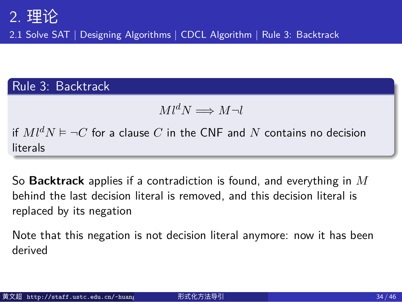2.1 Solve SAT | Designing Algorithms | CDCL Algorithm | Rule 3: Backtrack

### Rule 3: Backtrack

 $Ml^dN \Longrightarrow M\neg l$ 

if  $Ml^dN$  ⊨  $\neg C$  for a clause  $C$  in the CNF and  $N$  contains no decision literals

So **Backtrack** applies if a contradiction is found, and everything in *M* behind the last decision literal is removed, and this decision literal is replaced by its negation

Note that this negation is not decision literal anymore: now it has been derived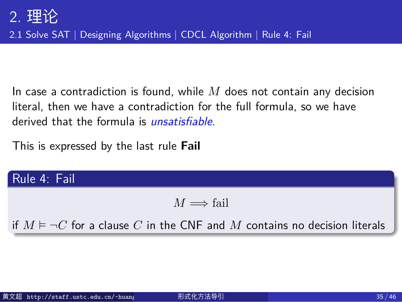2.1 Solve SAT | Designing Algorithms | CDCL Algorithm | Rule 4: Fail

In case a contradiction is found, while *M* does not contain any decision literal, then we have a contradiction for the full formula, so we have derived that the formula is *unsatisfiable*.

This is expressed by the last rule **Fail**

## Rule 4: Fail

 $M \Longrightarrow$ fail

if  $M ⊨ ¬C$  for a clause  $C$  in the CNF and  $M$  contains no decision literals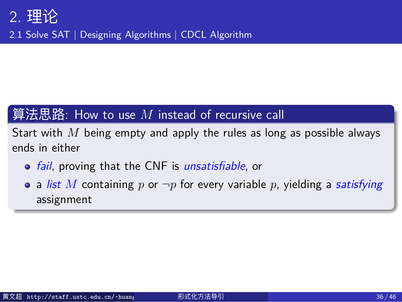2.1 Solve SAT | Designing Algorithms | CDCL Algorithm

## $[$ 算法思路: How to use  $M$  instead of recursive call

Start with *M* being empty and apply the rules as long as possible always ends in either

- *fail*, proving that the CNF is *unsatisfiable*, or
- a *list M* containing *p* or *¬p* for every variable *p*, yielding a *satisfying* assignment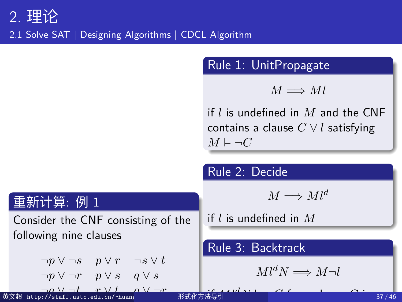2.1 Solve SAT | Designing Algorithms | CDCL Algorithm

Rule 1: UnitPropagate  $M \Longrightarrow Ml$ if *l* is undefined in *M* and the CNF contains a clause *C ∨ l* satisfying *M* ⊨ *¬C* Rule 2: Decide  $M \Longrightarrow Ml^d$ if *l* is undefined in *M*

```
重新计算: 例 1
 Consider the CNF consisting of the
 following nine clauses
      ¬p ∨ ¬s p ∨ r ¬s ∨ t
      ¬p ∨ ¬r p ∨ s q ∨ s
¬q ∨ ¬t r ∨ t q ∨ ¬r
黄文超 http://staff.ustc.edu.cn/~huangwc/fm.html 形式化方法导引 37 / 46Rule 3: Backtrack
                                                Ml^dN \Longrightarrow M\neg lif MldN ⊨ ¬C for a clause C in
```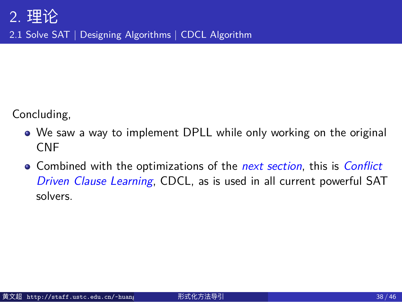2.1 Solve SAT | Designing Algorithms | CDCL Algorithm

Concluding,

- We saw a way to implement DPLL while only working on the original CNF
- Combined with the optimizations of the *next section*, this is *Conflict Driven Clause Learning*, CDCL, as is used in all current powerful SAT solvers.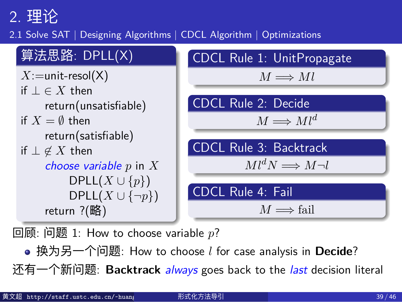2.1 Solve SAT | Designing Algorithms | CDCL Algorithm | Optimizations



回顾: 问题 1: How to choose variable *p*?

换为另一个问题: How to choose *l* for case analysis in **Decide**?

还有一个新问题: **Backtrack** *always* goes back to the *last* decision literal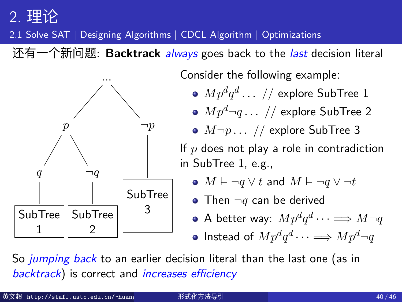### 2.1 Solve SAT | Designing Algorithms | CDCL Algorithm | Optimizations



*backtrack*) is correct and *increases efficiency*

| 黄文超 http://staff.ustc.edu.cn/~huang | 形式化方法导引 | 40/46 |
|-------------------------------------|---------|-------|
|-------------------------------------|---------|-------|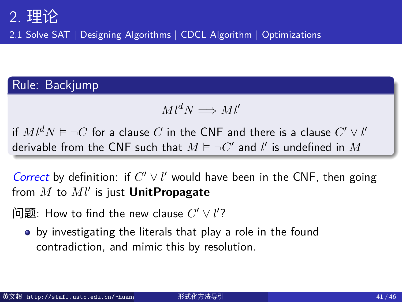2.1 Solve SAT | Designing Algorithms | CDCL Algorithm | Optimizations

## Rule: Backjump

 $Ml^dN \Longrightarrow Ml^{\prime}$ 

if  $Ml^dN \vDash \neg C$  for a clause  $C$  in the CNF and there is a clause  $C' \vee l'$ derivable from the CNF such that  $M \vDash \neg C'$  and  $l'$  is undefined in  $M$ 

*Correct* by definition: if  $C' \vee l'$  would have been in the CNF, then going from *M* to *Ml′* is just **UnitPropagate**

 $\Theta$   $\overline{\mathbf{E}}$   $\Xi$  . How to find the new clause  $C'\vee l'$  ?

by investigating the literals that play a role in the found contradiction, and mimic this by resolution.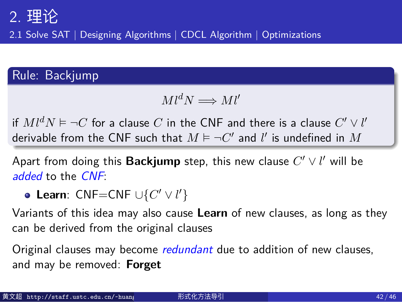2.1 Solve SAT | Designing Algorithms | CDCL Algorithm | Optimizations

### Rule: Backjump

 $Ml^dN \Longrightarrow Ml^{\prime}$ 

if  $Ml^dN \vDash \neg C$  for a clause  $C$  in the CNF and there is a clause  $C' \vee l'$ derivable from the CNF such that  $M \vDash \neg C'$  and  $l'$  is undefined in  $M$ 

Apart from doing this **Backjump** step, this new clause *C ′ ∨ l ′* will be *added* to the *CNF*:

**Learn**: CNF=CNF *∪{C ′ ∨ l ′}*

Variants of this idea may also cause **Learn** of new clauses, as long as they can be derived from the original clauses

Original clauses may become *redundant* due to addition of new clauses, and may be removed: **Forget**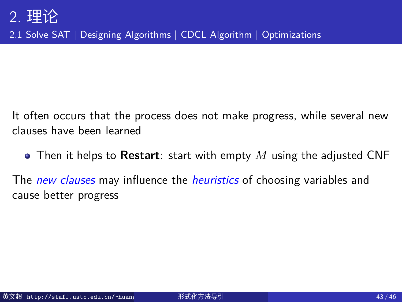2.1 Solve SAT | Designing Algorithms | CDCL Algorithm | Optimizations

It often occurs that the process does not make progress, while several new clauses have been learned

Then it helps to **Restart**: start with empty *M* using the adjusted CNF

The *new clauses* may influence the *heuristics* of choosing variables and cause better progress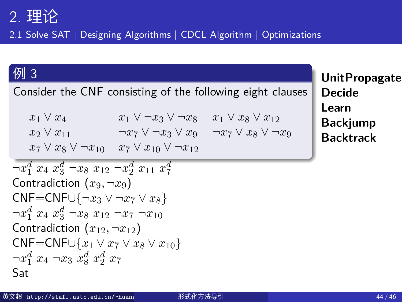2.1 Solve SAT | Designing Algorithms | CDCL Algorithm | Optimizations

### 例 3

Consider the CNF consisting of the following eight clauses

*x*<sub>1</sub>  $\lor$  *x*<sub>4</sub> *x*<sub>1</sub>  $\lor$  *x*<sub>3</sub>  $\lor$  *-x*<sub>3</sub>  $\lor$  *x*<sub>8</sub> *x*<sub>1</sub>  $\lor$  *x*<sub>8</sub>  $\lor$  *x*<sub>2</sub>  $\lor$  *x*<sub>8</sub>  $\lor$  *−x*<sub>2</sub>  $\lor$  *x*<sub>8</sub>  $\lor$  *−x*<sub>2</sub>  $\lor$  *x*<sub>8</sub>  $\lor$  *−x*<sub>2</sub>  $\lor$  *x*<sub>8</sub>  $\lor$  *−x*<sub>2</sub>  $\lor$  *x*<sub>8</sub>  $\lor$  *−x*<sub>2</sub> *x*<sup>2</sup> *∨ x*<sup>11</sup> *¬x*<sup>7</sup> *∨ ¬x*<sup>3</sup> *∨ x*<sup>9</sup> *¬x*<sup>7</sup> *∨ x*<sup>8</sup> *∨ ¬x*<sup>9</sup> *x*<sub>7</sub>  $\lor$  *x*<sub>8</sub>  $\lor$  ¬*x*<sub>10</sub>  $\lor$  *x*<sub>10</sub>  $\lor$  ¬*x*<sub>12</sub>

```
\neg x_1^d x_4 x_3^d \neg x_8 x_{12} \neg x_2^d x_{11} x_7^dContradiction (x_9, \neg x_9)CNF=CNF∪{¬x3 ∨ ¬x7 ∨ x8}
\neg x_1^d x_4 x_3^d \neg x_8 x_{12} \neg x_7 \neg x_{10}Contradiction (x_{12}, -x_{12})CNF=CNF∪{x1 ∨ x7 ∨ x8 ∨ x10}
\neg x_1^d x_4 \neg x_3 x_8^d x_2^d x_7Sat
```
**UnitPropagate Decide**

> **Learn Backjump Backtrack**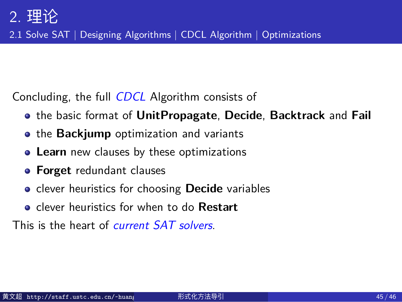2.1 Solve SAT | Designing Algorithms | CDCL Algorithm | Optimizations

Concluding, the full *CDCL* Algorithm consists of

- the basic format of **UnitPropagate**, **Decide**, **Backtrack** and **Fail**
- **the Backjump** optimization and variants
- **Learn** new clauses by these optimizations
- **Forget** redundant clauses
- clever heuristics for choosing **Decide** variables
- clever heuristics for when to do **Restart**

This is the heart of *current SAT solvers*.